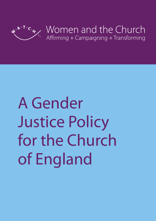

# A Gender Justice Policy for the Church of England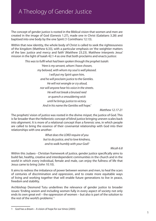## A Theology of Gender Justice

The concept of gender justice is rooted in the Biblical vision that women and men are created in the image of God (Genesis 1.27), made one in Christ (Galatians 3.28) and baptised into one body by the one Spirit (1 Corinthians 12.13).

Within that new identity, the whole body of Christ is called to seek the righteousness of the kingdom (Matthew 6.33), with a particular emphasis on 'the weightier matters of the law: justice and mercy and faith' (Matthew 23.23). Matthew interprets Jesus' mission in the light of Isaiah 42.1-4 as one that both proclaims and enacts justice:

> *This was to fulfil what had been spoken through the prophet Isaiah: 'Here is my servant, whom I have chosen, my beloved, with whom my soul is well pleased. I will put my Spirit upon him, and he will proclaim justice to the Gentiles. He will not wrangle or cry aloud, nor will anyone hear his voice in the streets. He will not break a bruised reed or quench a smouldering wick until he brings justice to victory. And in his name the Gentiles will hope.'*

> > *Matthew 12.17-21*

The prophets' vision of justice was rooted in the divine *mispat*, the justice of God. This is far broader than the Hellenistic concept of blind justice bringing uneven scales back into alignment. It is more of a relational concept than a forensic one, in which people are called to bring the essence of their covenantal relationship with God into their relationships with one another:

> *What does the LORD require of you but to do justice, and to love kindness, and to walk humbly with your God?*

> > *Micah 6.8*

Within this Judaeo - Christian framework of justice, gender justice specifically aims to build fair, healthy, creative and interdependent communities in the church and in the world in which every individual, female and male, can enjoy the fullness of life that Jesus came to bring (John 10.10).

It aims to redress the imbalance of power between women and men, to heal the scars of centuries of discrimination and oppression, and to create more equitable ways of living and working together that will enable future generations to live in peace, freedom and stability.

Archbishop Desmond Tutu underlines the relevance of gender justice to broader issues: 'Ending sexism and including women fully in every aspect of society not only ends its own great evil – the oppression of women – but also is part of the solution to the rest of the world's problems.<sup>1</sup>

<sup>1</sup> God has a dream – A vision of hope for our times (2005)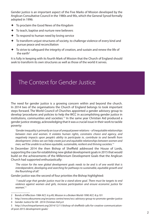Gender justice is an important aspect of the Five Marks of Mission developed by the Anglican Consultative Council in the 1980s and 90s, which the General Synod formally adopted in 1996:

- è To proclaim the Good News of the Kingdom
- $\triangle$  To teach, baptise and nurture new believers
- $\triangleleft$  To respond to human need by loving service
- è To transform unjust structures of society, to challenge violence of every kind and pursue peace and reconciliation
- $\triangle$  To strive to safeguard the integrity of creation, and sustain and renew the life of the earth $2$

It is fully in keeping with its fourth Mark of Mission that the Church of England should seek to transform its own structures as well as those of the world it serves.

## The Context for Gender Justice

The need for gender justice is a growing concern within and beyond the church. In 2014 two of the organisations the Church of England belongs to took important steps forward. The World Council of Churches appointed a gender advisory group to develop 'procedures and policies to help the WCC in accomplishing gender justice in institutions, communities and societies.<sup>'3</sup> In the same year Christian Aid produced a gender justice strategy, acknowledging that it was a crucial issue in their work to tackle poverty:

*'Gender inequality is primarily an issue of unequal power relations – of inequitable relationships between men and women. It violates human rights, constrains choice and agency, and negatively impacts upon people's ability to participate in, contribute to and benefit from development. Unless we can help create just and equitable relationships between women and men, we'll be unable to achieve equitable, sustainable, resilient and thriving societies.' 4*

In December 2014 the then Bishop of Sheffield addressed the House of Lords, supporting the case for establishing new global development goals in 2015 that would build on the achievements of the Millennium Development Goals that the Anglican Church had supported enthusiastically:

*'The vision for the new global development goals needs to be and is of one world that is interdependent, developing and searching for pathways to sustainable, equitable growth and the flourishing of all.'* 

Gender justice was the second of four priorities the Bishop highlighted:

 *'I would urge that gender justice must be a stand-alone goal. There must be targets to end violence against women and girls, increase participation and ensure economic justice for women.' 5*

<sup>2</sup> Bonds of Affection-1984 ACC-6 p.49, Mission in a Broken World-1990 ACC-8 p.101

<sup>3</sup> http://www.oikoumene.org/en/press-centre/news/wcc-advisory-group-to-promote-gender-justice

<sup>4</sup> Gender Justice for All - 2014 Christian Aid p.4

<sup>5</sup> http://churchinparliament.org/2014/12/11/bishop-of-sheffield-calls-for-creative-communicationof-post-2015-development-goals/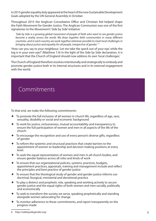In 2015 gender equality duly appeared at the heart of the new Sustainable Development Goals adopted by the UN General Assembly in October.

Throughout 2015 the Anglican Consultative Office and Christian Aid helped shape the Faith Movement for Gender Justice. The Anglican Communion was one of the first signatories to the Movement's 'Side by Side' initiative:

*'Side by Side is a growing global movement of people of faith who want to see gender justice become a reality across the world. We draw together faith communities in many different countries, and in each country we work together wherever possible to meet local challenges in bringing about justice and equality for all people, irrespective of gender.' 6*

'How can you say to your neighbour, 'Let me take the speck out of your eye,' while the log is in your own eye?' (Matthew 7.4) In the light of the Side by Side declaration, it is important that the Church of England should now address its own 'local challenges.'

The Church of England therefore resolves intentionally and strategically to embody and promote gender justice both in its internal structures and in its external engagement with the world.

### **Commitments**

To that end, we make the following commitments:

- $\triangle$  To promote the full inclusion of all women in church life, regardless of age, race, sexuality, disability or social and economic background
- $\triangle$  To work for justice, inclusiveness, mutual accountability and transparency to ensure the full participation of women and men in all aspects of the life of the church.
- è To encourage the recognition and use of every person's diverse gifts, regardless of gender
- To reform the systemic and structural practices that create barriers to the appointment of women to leadership and decision-making positions at every level.
- $\triangle$  To seek the equal representation of women and men in all church bodies, and ensure gender balance across all roles and kinds of work
- $\triangleq$  To ensure that our organizational policies, systems, practices, budgets, appointment practices, appraisals, training and management include and reflect the principles and best practice of gender justice
- $\triangle$  To ensure that the theological study of gender and gender justice informs our doctrinal, liturgical, ministerial and devotional practice
- $\triangle$  To play a distinct and prophetic role, speaking and working actively to secure gender justice and the equal rights of both women and men socially, politically and economically
- $\triangle$  To seek to transform the society we serve, speaking prophetically and standing alongside women advocating for change
- $\triangleq$  To monitor adherence to these commitments, and report transparently on the progress made

<sup>6</sup> http://sidebysidegender.org/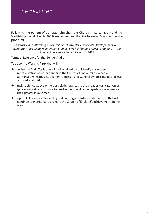### The next step

Following the pattern of our sister churches, the Church in Wales (2008) and the Scottish Episcopal Church (2009), we recommend that the following Synod motion be proposed:

*That this Synod, affirming its commitment to the UN Sustainable Development Goals, invites the undertaking of a Gender Audit at every level of the Church of England in time to report back to the General Synod in 2019*

Terms of Reference for the Gender Audit:

To appoint a Working Party that will:

- $\triangleq$  devise the Audit Tools that will collect the data to identify any underrepresentation of either gender in the Church of England's ordained and authorised ministries; its deanery, diocesan and General Synods; and its diocesan and national staff;
- $\triangleq$  analyse this data, exploring possible hindrances to the broader participation of gender minorities and ways to resolve them; and setting goals or measures for their greater involvement;
- $\triangle$  report its findings to General Synod and suggest future audit patterns that will continue to monitor and evaluate the Church of England's achievements in this area.